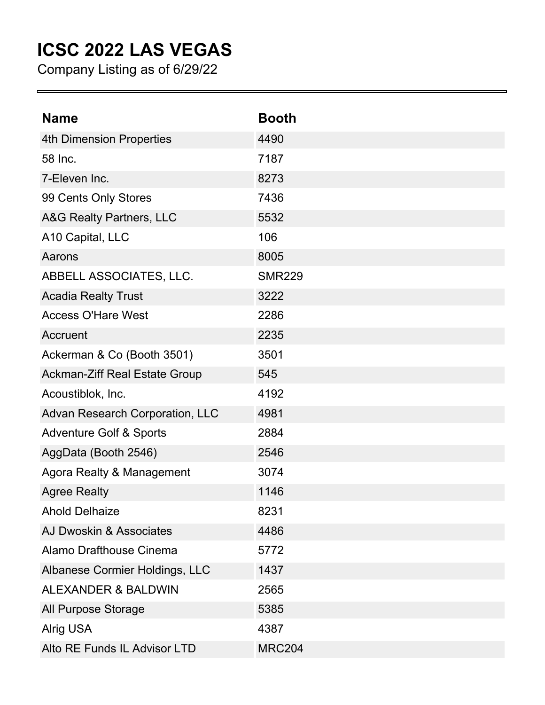## **ICSC 2022 LAS VEGAS**

Company Listing as of 6/29/22

| <b>Name</b>                          | <b>Booth</b>  |
|--------------------------------------|---------------|
| <b>4th Dimension Properties</b>      | 4490          |
| 58 Inc.                              | 7187          |
| 7-Eleven Inc.                        | 8273          |
| 99 Cents Only Stores                 | 7436          |
| A&G Realty Partners, LLC             | 5532          |
| A10 Capital, LLC                     | 106           |
| Aarons                               | 8005          |
| ABBELL ASSOCIATES, LLC.              | <b>SMR229</b> |
| <b>Acadia Realty Trust</b>           | 3222          |
| <b>Access O'Hare West</b>            | 2286          |
| Accruent                             | 2235          |
| Ackerman & Co (Booth 3501)           | 3501          |
| <b>Ackman-Ziff Real Estate Group</b> | 545           |
| Acoustiblok, Inc.                    | 4192          |
| Advan Research Corporation, LLC      | 4981          |
| <b>Adventure Golf &amp; Sports</b>   | 2884          |
| AggData (Booth 2546)                 | 2546          |
| Agora Realty & Management            | 3074          |
| <b>Agree Realty</b>                  | 1146          |
| <b>Ahold Delhaize</b>                | 8231          |
| AJ Dwoskin & Associates              | 4486          |
| Alamo Drafthouse Cinema              | 5772          |
| Albanese Cormier Holdings, LLC       | 1437          |
| <b>ALEXANDER &amp; BALDWIN</b>       | 2565          |
| All Purpose Storage                  | 5385          |
| <b>Alrig USA</b>                     | 4387          |
| Alto RE Funds IL Advisor LTD         | <b>MRC204</b> |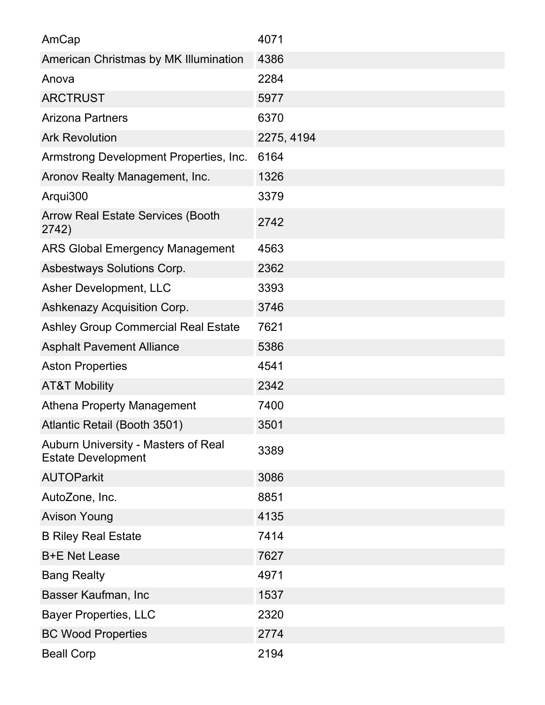| AmCap                                                            | 4071       |
|------------------------------------------------------------------|------------|
| American Christmas by MK Illumination                            | 4386       |
| Anova                                                            | 2284       |
| <b>ARCTRUST</b>                                                  | 5977       |
| <b>Arizona Partners</b>                                          | 6370       |
| <b>Ark Revolution</b>                                            | 2275, 4194 |
| Armstrong Development Properties, Inc.                           | 6164       |
| Aronov Realty Management, Inc.                                   | 1326       |
| Arqui300                                                         | 3379       |
| <b>Arrow Real Estate Services (Booth</b><br>2742)                | 2742       |
| <b>ARS Global Emergency Management</b>                           | 4563       |
| Asbestways Solutions Corp.                                       | 2362       |
| Asher Development, LLC                                           | 3393       |
| Ashkenazy Acquisition Corp.                                      | 3746       |
| <b>Ashley Group Commercial Real Estate</b>                       | 7621       |
| <b>Asphalt Pavement Alliance</b>                                 | 5386       |
| <b>Aston Properties</b>                                          | 4541       |
| <b>AT&amp;T Mobility</b>                                         | 2342       |
| <b>Athena Property Management</b>                                | 7400       |
| Atlantic Retail (Booth 3501)                                     | 3501       |
| Auburn University - Masters of Real<br><b>Estate Development</b> | 3389       |
| <b>AUTOParkit</b>                                                | 3086       |
| AutoZone, Inc.                                                   | 8851       |
| <b>Avison Young</b>                                              | 4135       |
| <b>B Riley Real Estate</b>                                       | 7414       |
| <b>B+E Net Lease</b>                                             | 7627       |
| <b>Bang Realty</b>                                               | 4971       |
| Basser Kaufman, Inc                                              | 1537       |
| <b>Bayer Properties, LLC</b>                                     | 2320       |
| <b>BC Wood Properties</b>                                        | 2774       |
| <b>Beall Corp</b>                                                | 2194       |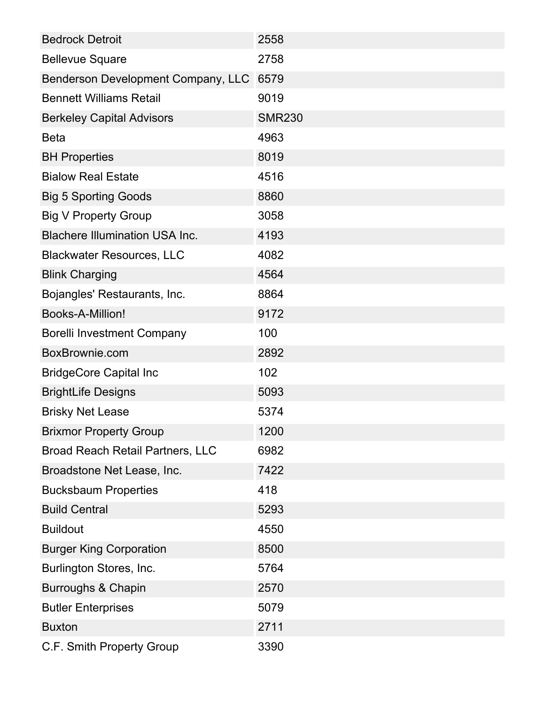| <b>Bedrock Detroit</b>                  | 2558          |
|-----------------------------------------|---------------|
| <b>Bellevue Square</b>                  | 2758          |
| Benderson Development Company, LLC      | 6579          |
| <b>Bennett Williams Retail</b>          | 9019          |
| <b>Berkeley Capital Advisors</b>        | <b>SMR230</b> |
| <b>Beta</b>                             | 4963          |
| <b>BH Properties</b>                    | 8019          |
| <b>Bialow Real Estate</b>               | 4516          |
| <b>Big 5 Sporting Goods</b>             | 8860          |
| <b>Big V Property Group</b>             | 3058          |
| <b>Blachere Illumination USA Inc.</b>   | 4193          |
| <b>Blackwater Resources, LLC</b>        | 4082          |
| <b>Blink Charging</b>                   | 4564          |
| Bojangles' Restaurants, Inc.            | 8864          |
| Books-A-Million!                        | 9172          |
| <b>Borelli Investment Company</b>       | 100           |
| BoxBrownie.com                          | 2892          |
| <b>BridgeCore Capital Inc</b>           | 102           |
| <b>BrightLife Designs</b>               | 5093          |
| <b>Brisky Net Lease</b>                 | 5374          |
| <b>Brixmor Property Group</b>           | 1200          |
| <b>Broad Reach Retail Partners, LLC</b> | 6982          |
| Broadstone Net Lease, Inc.              | 7422          |
| <b>Bucksbaum Properties</b>             | 418           |
| <b>Build Central</b>                    | 5293          |
| <b>Buildout</b>                         | 4550          |
| <b>Burger King Corporation</b>          | 8500          |
| Burlington Stores, Inc.                 | 5764          |
| <b>Burroughs &amp; Chapin</b>           | 2570          |
| <b>Butler Enterprises</b>               | 5079          |
| <b>Buxton</b>                           | 2711          |
| C.F. Smith Property Group               | 3390          |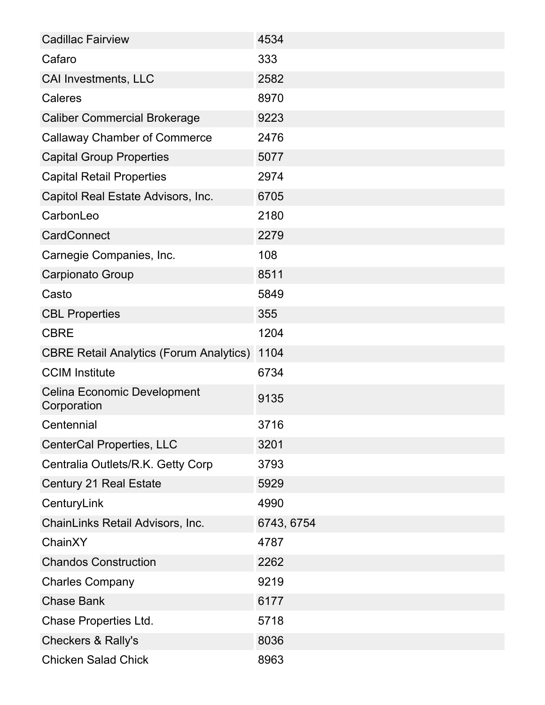| <b>Cadillac Fairview</b>                          | 4534       |
|---------------------------------------------------|------------|
| Cafaro                                            | 333        |
| <b>CAI Investments, LLC</b>                       | 2582       |
| Caleres                                           | 8970       |
| <b>Caliber Commercial Brokerage</b>               | 9223       |
| <b>Callaway Chamber of Commerce</b>               | 2476       |
| <b>Capital Group Properties</b>                   | 5077       |
| <b>Capital Retail Properties</b>                  | 2974       |
| Capitol Real Estate Advisors, Inc.                | 6705       |
| CarbonLeo                                         | 2180       |
| <b>CardConnect</b>                                | 2279       |
| Carnegie Companies, Inc.                          | 108        |
| Carpionato Group                                  | 8511       |
| Casto                                             | 5849       |
| <b>CBL Properties</b>                             | 355        |
| <b>CBRE</b>                                       | 1204       |
| <b>CBRE Retail Analytics (Forum Analytics)</b>    | 1104       |
| <b>CCIM Institute</b>                             | 6734       |
| <b>Celina Economic Development</b><br>Corporation | 9135       |
| Centennial                                        | 3716       |
| <b>CenterCal Properties, LLC</b>                  | 3201       |
| Centralia Outlets/R.K. Getty Corp                 | 3793       |
| <b>Century 21 Real Estate</b>                     | 5929       |
| CenturyLink                                       | 4990       |
| ChainLinks Retail Advisors, Inc.                  | 6743, 6754 |
| ChainXY                                           | 4787       |
| <b>Chandos Construction</b>                       | 2262       |
| <b>Charles Company</b>                            | 9219       |
| <b>Chase Bank</b>                                 | 6177       |
| Chase Properties Ltd.                             | 5718       |
| <b>Checkers &amp; Rally's</b>                     | 8036       |
| <b>Chicken Salad Chick</b>                        | 8963       |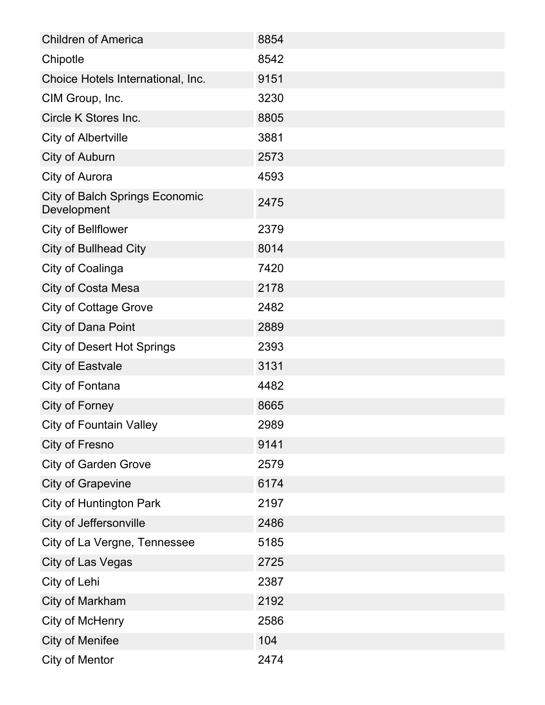| <b>Children of America</b>                           | 8854 |
|------------------------------------------------------|------|
| Chipotle                                             | 8542 |
| Choice Hotels International, Inc.                    | 9151 |
| CIM Group, Inc.                                      | 3230 |
| Circle K Stores Inc.                                 | 8805 |
| <b>City of Albertville</b>                           | 3881 |
| City of Auburn                                       | 2573 |
| City of Aurora                                       | 4593 |
| <b>City of Balch Springs Economic</b><br>Development | 2475 |
| <b>City of Bellflower</b>                            | 2379 |
| <b>City of Bullhead City</b>                         | 8014 |
| City of Coalinga                                     | 7420 |
| City of Costa Mesa                                   | 2178 |
| <b>City of Cottage Grove</b>                         | 2482 |
| <b>City of Dana Point</b>                            | 2889 |
| <b>City of Desert Hot Springs</b>                    | 2393 |
| <b>City of Eastvale</b>                              | 3131 |
| City of Fontana                                      | 4482 |
| City of Forney                                       | 8665 |
| <b>City of Fountain Valley</b>                       | 2989 |
| City of Fresno                                       | 9141 |
| <b>City of Garden Grove</b>                          | 2579 |
| <b>City of Grapevine</b>                             | 6174 |
| <b>City of Huntington Park</b>                       | 2197 |
| City of Jeffersonville                               | 2486 |
| City of La Vergne, Tennessee                         | 5185 |
| City of Las Vegas                                    | 2725 |
| City of Lehi                                         | 2387 |
| City of Markham                                      | 2192 |
| City of McHenry                                      | 2586 |
| <b>City of Menifee</b>                               | 104  |
| <b>City of Mentor</b>                                | 2474 |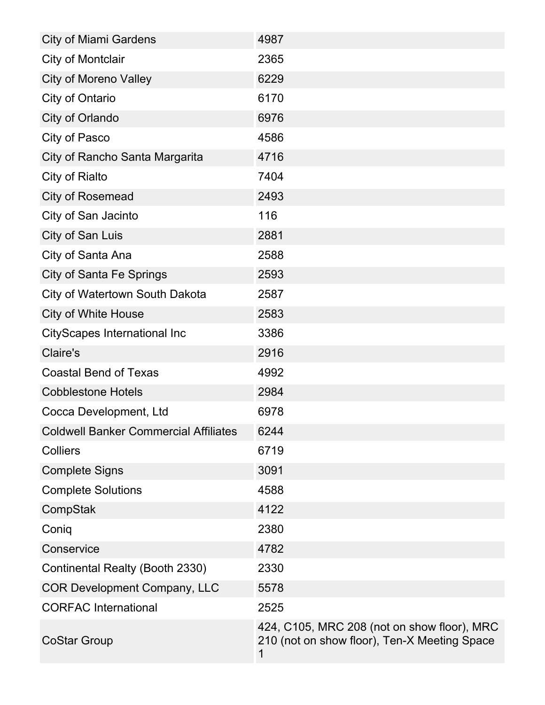| <b>City of Miami Gardens</b>                 | 4987                                                                                             |
|----------------------------------------------|--------------------------------------------------------------------------------------------------|
| <b>City of Montclair</b>                     | 2365                                                                                             |
| <b>City of Moreno Valley</b>                 | 6229                                                                                             |
| City of Ontario                              | 6170                                                                                             |
| City of Orlando                              | 6976                                                                                             |
| City of Pasco                                | 4586                                                                                             |
| City of Rancho Santa Margarita               | 4716                                                                                             |
| City of Rialto                               | 7404                                                                                             |
| <b>City of Rosemead</b>                      | 2493                                                                                             |
| City of San Jacinto                          | 116                                                                                              |
| City of San Luis                             | 2881                                                                                             |
| City of Santa Ana                            | 2588                                                                                             |
| <b>City of Santa Fe Springs</b>              | 2593                                                                                             |
| City of Watertown South Dakota               | 2587                                                                                             |
| <b>City of White House</b>                   | 2583                                                                                             |
| <b>CityScapes International Inc</b>          | 3386                                                                                             |
| Claire's                                     | 2916                                                                                             |
| <b>Coastal Bend of Texas</b>                 | 4992                                                                                             |
| <b>Cobblestone Hotels</b>                    | 2984                                                                                             |
| Cocca Development, Ltd                       | 6978                                                                                             |
| <b>Coldwell Banker Commercial Affiliates</b> | 6244                                                                                             |
| <b>Colliers</b>                              | 6719                                                                                             |
| <b>Complete Signs</b>                        | 3091                                                                                             |
| <b>Complete Solutions</b>                    | 4588                                                                                             |
| CompStak                                     | 4122                                                                                             |
| Coniq                                        | 2380                                                                                             |
| Conservice                                   | 4782                                                                                             |
| Continental Realty (Booth 2330)              | 2330                                                                                             |
| <b>COR Development Company, LLC</b>          | 5578                                                                                             |
| <b>CORFAC International</b>                  | 2525                                                                                             |
| <b>CoStar Group</b>                          | 424, C105, MRC 208 (not on show floor), MRC<br>210 (not on show floor), Ten-X Meeting Space<br>1 |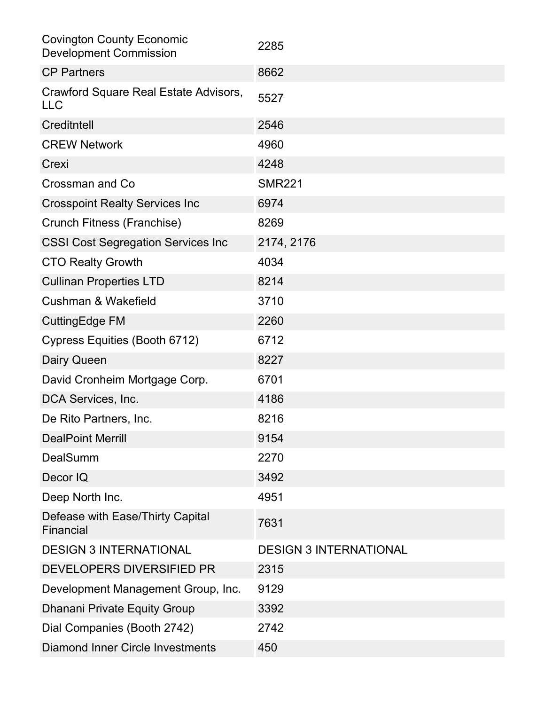| <b>Covington County Economic</b><br><b>Development Commission</b> | 2285                          |
|-------------------------------------------------------------------|-------------------------------|
| <b>CP Partners</b>                                                | 8662                          |
| Crawford Square Real Estate Advisors,<br><b>LLC</b>               | 5527                          |
| Creditntell                                                       | 2546                          |
| <b>CREW Network</b>                                               | 4960                          |
| Crexi                                                             | 4248                          |
| Crossman and Co                                                   | <b>SMR221</b>                 |
| <b>Crosspoint Realty Services Inc.</b>                            | 6974                          |
| Crunch Fitness (Franchise)                                        | 8269                          |
| <b>CSSI Cost Segregation Services Inc.</b>                        | 2174, 2176                    |
| <b>CTO Realty Growth</b>                                          | 4034                          |
| <b>Cullinan Properties LTD</b>                                    | 8214                          |
| Cushman & Wakefield                                               | 3710                          |
| <b>CuttingEdge FM</b>                                             | 2260                          |
| Cypress Equities (Booth 6712)                                     | 6712                          |
| Dairy Queen                                                       | 8227                          |
| David Cronheim Mortgage Corp.                                     | 6701                          |
| DCA Services, Inc.                                                | 4186                          |
| De Rito Partners, Inc.                                            | 8216                          |
| <b>DealPoint Merrill</b>                                          | 9154                          |
| <b>DealSumm</b>                                                   | 2270                          |
| Decor IQ                                                          | 3492                          |
| Deep North Inc.                                                   | 4951                          |
| Defease with Ease/Thirty Capital<br>Financial                     | 7631                          |
| <b>DESIGN 3 INTERNATIONAL</b>                                     | <b>DESIGN 3 INTERNATIONAL</b> |
| DEVELOPERS DIVERSIFIED PR                                         | 2315                          |
| Development Management Group, Inc.                                | 9129                          |
| <b>Dhanani Private Equity Group</b>                               | 3392                          |
| Dial Companies (Booth 2742)                                       | 2742                          |
| <b>Diamond Inner Circle Investments</b>                           | 450                           |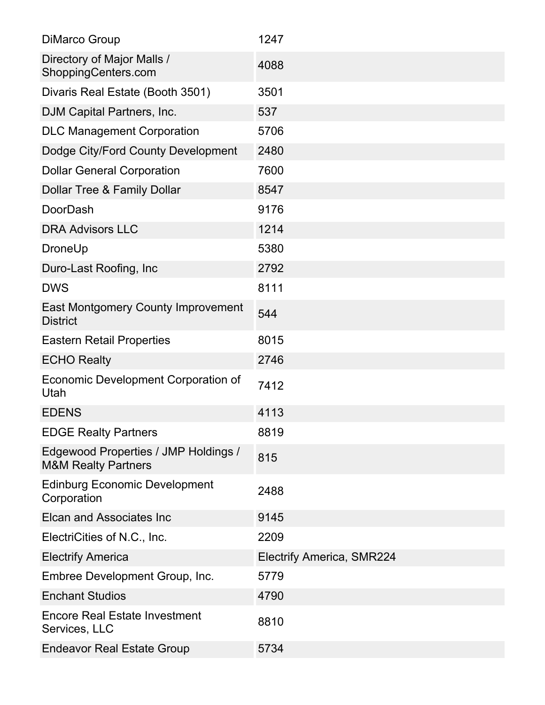| DiMarco Group                                                          | 1247                             |
|------------------------------------------------------------------------|----------------------------------|
| Directory of Major Malls /<br>ShoppingCenters.com                      | 4088                             |
| Divaris Real Estate (Booth 3501)                                       | 3501                             |
| DJM Capital Partners, Inc.                                             | 537                              |
| <b>DLC Management Corporation</b>                                      | 5706                             |
| Dodge City/Ford County Development                                     | 2480                             |
| <b>Dollar General Corporation</b>                                      | 7600                             |
| Dollar Tree & Family Dollar                                            | 8547                             |
| <b>DoorDash</b>                                                        | 9176                             |
| <b>DRA Advisors LLC</b>                                                | 1214                             |
| DroneUp                                                                | 5380                             |
| Duro-Last Roofing, Inc.                                                | 2792                             |
| <b>DWS</b>                                                             | 8111                             |
| <b>East Montgomery County Improvement</b><br><b>District</b>           | 544                              |
| <b>Eastern Retail Properties</b>                                       | 8015                             |
| <b>ECHO Realty</b>                                                     | 2746                             |
| Economic Development Corporation of<br>Utah                            | 7412                             |
| <b>EDENS</b>                                                           | 4113                             |
| <b>EDGE Realty Partners</b>                                            | 8819                             |
| Edgewood Properties / JMP Holdings /<br><b>M&amp;M Realty Partners</b> | 815                              |
| <b>Edinburg Economic Development</b><br>Corporation                    | 2488                             |
| <b>Elcan and Associates Inc.</b>                                       | 9145                             |
| ElectriCities of N.C., Inc.                                            | 2209                             |
| <b>Electrify America</b>                                               | <b>Electrify America, SMR224</b> |
| Embree Development Group, Inc.                                         | 5779                             |
| <b>Enchant Studios</b>                                                 | 4790                             |
| <b>Encore Real Estate Investment</b><br>Services, LLC                  | 8810                             |
| <b>Endeavor Real Estate Group</b>                                      | 5734                             |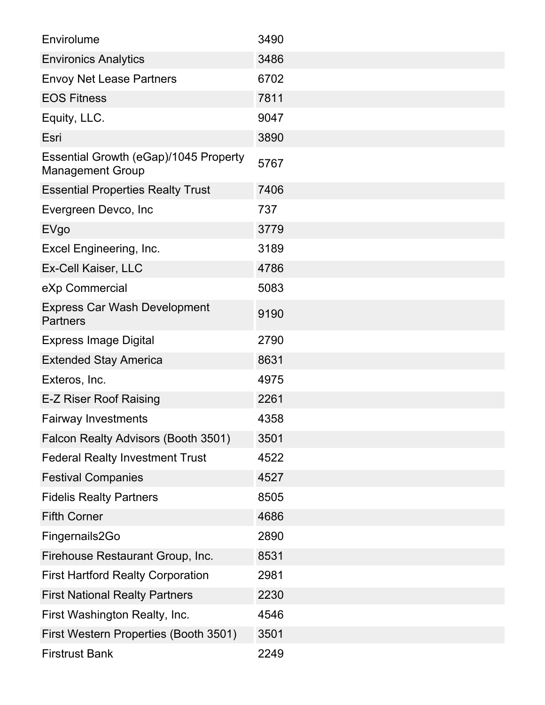| Envirolume                                                       | 3490 |
|------------------------------------------------------------------|------|
| <b>Environics Analytics</b>                                      | 3486 |
| <b>Envoy Net Lease Partners</b>                                  | 6702 |
| <b>EOS Fitness</b>                                               | 7811 |
| Equity, LLC.                                                     | 9047 |
| Esri                                                             | 3890 |
| Essential Growth (eGap)/1045 Property<br><b>Management Group</b> | 5767 |
| <b>Essential Properties Realty Trust</b>                         | 7406 |
| Evergreen Devco, Inc                                             | 737  |
| <b>EVgo</b>                                                      | 3779 |
| Excel Engineering, Inc.                                          | 3189 |
| Ex-Cell Kaiser, LLC                                              | 4786 |
| eXp Commercial                                                   | 5083 |
| <b>Express Car Wash Development</b><br><b>Partners</b>           | 9190 |
| <b>Express Image Digital</b>                                     | 2790 |
| <b>Extended Stay America</b>                                     | 8631 |
| Exteros, Inc.                                                    | 4975 |
| E-Z Riser Roof Raising                                           | 2261 |
| <b>Fairway Investments</b>                                       | 4358 |
| Falcon Realty Advisors (Booth 3501)                              | 3501 |
| <b>Federal Realty Investment Trust</b>                           | 4522 |
| <b>Festival Companies</b>                                        | 4527 |
| <b>Fidelis Realty Partners</b>                                   | 8505 |
| <b>Fifth Corner</b>                                              | 4686 |
| Fingernails2Go                                                   | 2890 |
| Firehouse Restaurant Group, Inc.                                 | 8531 |
| <b>First Hartford Realty Corporation</b>                         | 2981 |
| <b>First National Realty Partners</b>                            | 2230 |
| First Washington Realty, Inc.                                    | 4546 |
| First Western Properties (Booth 3501)                            | 3501 |
| <b>Firstrust Bank</b>                                            | 2249 |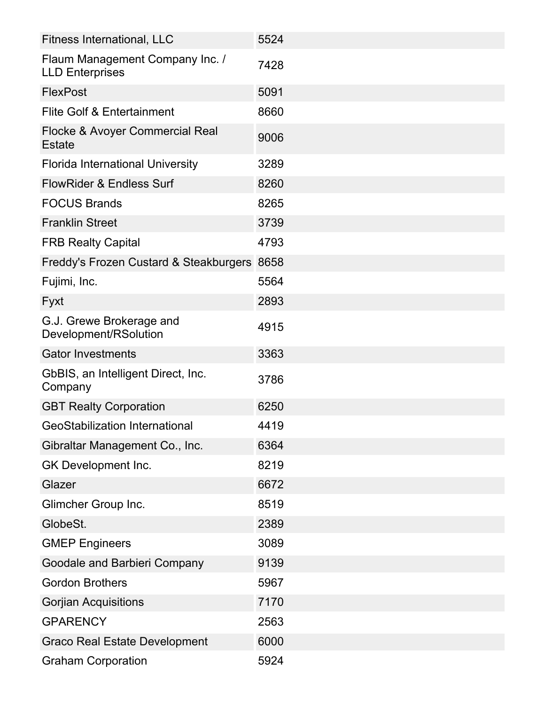| <b>Fitness International, LLC</b>                         | 5524 |
|-----------------------------------------------------------|------|
| Flaum Management Company Inc. /<br><b>LLD Enterprises</b> | 7428 |
| <b>FlexPost</b>                                           | 5091 |
| <b>Flite Golf &amp; Entertainment</b>                     | 8660 |
| Flocke & Avoyer Commercial Real<br><b>Estate</b>          | 9006 |
| <b>Florida International University</b>                   | 3289 |
| <b>FlowRider &amp; Endless Surf</b>                       | 8260 |
| <b>FOCUS Brands</b>                                       | 8265 |
| <b>Franklin Street</b>                                    | 3739 |
| <b>FRB Realty Capital</b>                                 | 4793 |
| Freddy's Frozen Custard & Steakburgers                    | 8658 |
| Fujimi, Inc.                                              | 5564 |
| Fyxt                                                      | 2893 |
| G.J. Grewe Brokerage and<br>Development/RSolution         | 4915 |
| <b>Gator Investments</b>                                  | 3363 |
| GbBIS, an Intelligent Direct, Inc.<br>Company             | 3786 |
| <b>GBT Realty Corporation</b>                             | 6250 |
| <b>GeoStabilization International</b>                     | 4419 |
| Gibraltar Management Co., Inc.                            | 6364 |
| GK Development Inc.                                       | 8219 |
| Glazer                                                    | 6672 |
| Glimcher Group Inc.                                       | 8519 |
| GlobeSt.                                                  | 2389 |
| <b>GMEP Engineers</b>                                     | 3089 |
| Goodale and Barbieri Company                              | 9139 |
| <b>Gordon Brothers</b>                                    | 5967 |
| <b>Gorjian Acquisitions</b>                               | 7170 |
| <b>GPARENCY</b>                                           | 2563 |
| <b>Graco Real Estate Development</b>                      | 6000 |
| <b>Graham Corporation</b>                                 | 5924 |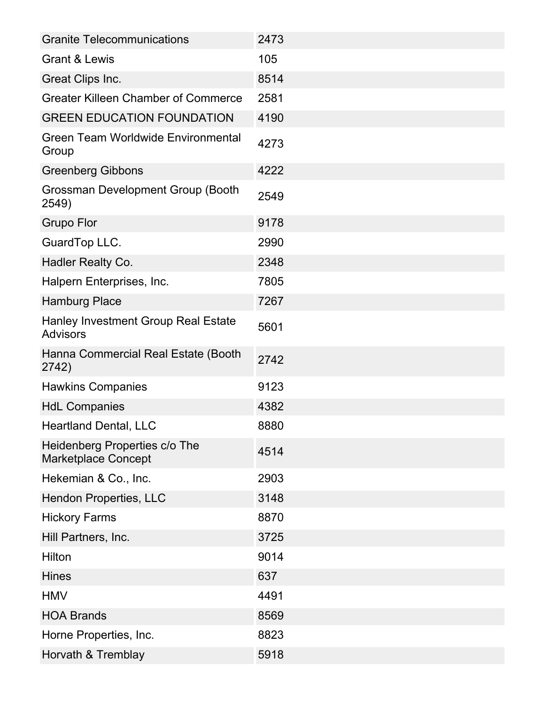| <b>Granite Telecommunications</b>                           | 2473 |
|-------------------------------------------------------------|------|
| <b>Grant &amp; Lewis</b>                                    | 105  |
| <b>Great Clips Inc.</b>                                     | 8514 |
| <b>Greater Killeen Chamber of Commerce</b>                  | 2581 |
| <b>GREEN EDUCATION FOUNDATION</b>                           | 4190 |
| <b>Green Team Worldwide Environmental</b><br>Group          | 4273 |
| <b>Greenberg Gibbons</b>                                    | 4222 |
| Grossman Development Group (Booth<br>2549)                  | 2549 |
| <b>Grupo Flor</b>                                           | 9178 |
| GuardTop LLC.                                               | 2990 |
| <b>Hadler Realty Co.</b>                                    | 2348 |
| Halpern Enterprises, Inc.                                   | 7805 |
| <b>Hamburg Place</b>                                        | 7267 |
| Hanley Investment Group Real Estate<br><b>Advisors</b>      | 5601 |
| Hanna Commercial Real Estate (Booth<br>2742)                | 2742 |
| <b>Hawkins Companies</b>                                    | 9123 |
| <b>HdL Companies</b>                                        | 4382 |
| <b>Heartland Dental, LLC</b>                                | 8880 |
| Heidenberg Properties c/o The<br><b>Marketplace Concept</b> | 4514 |
| Hekemian & Co., Inc.                                        | 2903 |
| <b>Hendon Properties, LLC</b>                               | 3148 |
| <b>Hickory Farms</b>                                        | 8870 |
| Hill Partners, Inc.                                         | 3725 |
| Hilton                                                      | 9014 |
| <b>Hines</b>                                                | 637  |
| <b>HMV</b>                                                  | 4491 |
| <b>HOA Brands</b>                                           | 8569 |
| Horne Properties, Inc.                                      | 8823 |
| Horvath & Tremblay                                          | 5918 |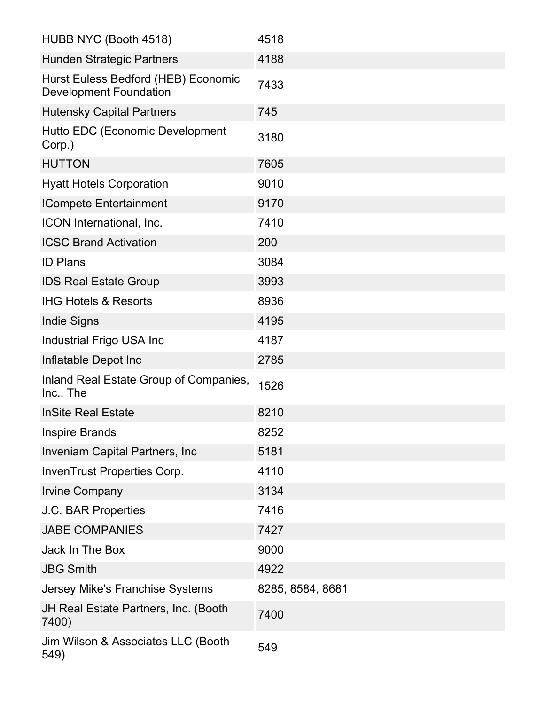| HUBB NYC (Booth 4518)                                                | 4518             |
|----------------------------------------------------------------------|------------------|
| <b>Hunden Strategic Partners</b>                                     | 4188             |
| Hurst Euless Bedford (HEB) Economic<br><b>Development Foundation</b> | 7433             |
| <b>Hutensky Capital Partners</b>                                     | 745              |
| Hutto EDC (Economic Development<br>Corp.)                            | 3180             |
| <b>HUTTON</b>                                                        | 7605             |
| <b>Hyatt Hotels Corporation</b>                                      | 9010             |
| <b>ICompete Entertainment</b>                                        | 9170             |
| ICON International, Inc.                                             | 7410             |
| <b>ICSC Brand Activation</b>                                         | 200              |
| <b>ID Plans</b>                                                      | 3084             |
| <b>IDS Real Estate Group</b>                                         | 3993             |
| <b>IHG Hotels &amp; Resorts</b>                                      | 8936             |
| <b>Indie Signs</b>                                                   | 4195             |
| Industrial Frigo USA Inc                                             | 4187             |
| Inflatable Depot Inc                                                 | 2785             |
| Inland Real Estate Group of Companies,<br>Inc., The                  | 1526             |
| <b>InSite Real Estate</b>                                            | 8210             |
| <b>Inspire Brands</b>                                                | 8252             |
| Inveniam Capital Partners, Inc                                       | 5181             |
| InvenTrust Properties Corp.                                          | 4110             |
| <b>Irvine Company</b>                                                | 3134             |
| <b>J.C. BAR Properties</b>                                           | 7416             |
| <b>JABE COMPANIES</b>                                                | 7427             |
| Jack In The Box                                                      | 9000             |
| <b>JBG Smith</b>                                                     | 4922             |
| Jersey Mike's Franchise Systems                                      | 8285, 8584, 8681 |
| JH Real Estate Partners, Inc. (Booth<br>7400)                        | 7400             |
| Jim Wilson & Associates LLC (Booth<br>549)                           | 549              |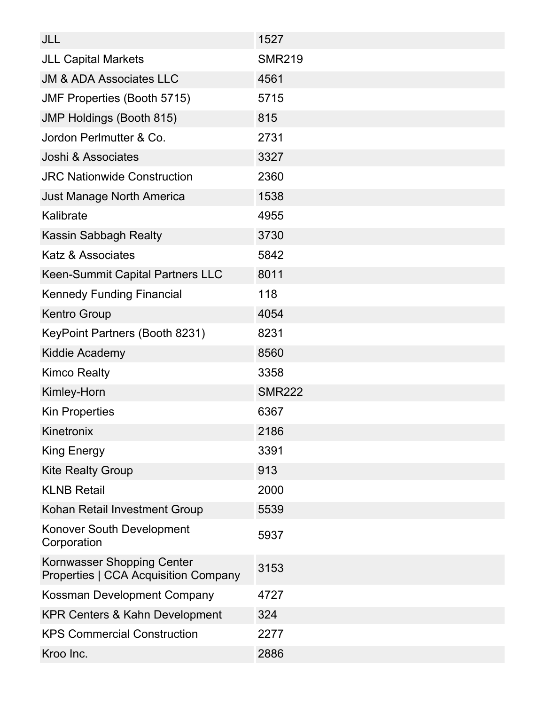| JLL                                                                | 1527          |
|--------------------------------------------------------------------|---------------|
| <b>JLL Capital Markets</b>                                         | <b>SMR219</b> |
| <b>JM &amp; ADA Associates LLC</b>                                 | 4561          |
| <b>JMF Properties (Booth 5715)</b>                                 | 5715          |
| <b>JMP Holdings (Booth 815)</b>                                    | 815           |
| Jordon Perlmutter & Co.                                            | 2731          |
| Joshi & Associates                                                 | 3327          |
| <b>JRC Nationwide Construction</b>                                 | 2360          |
| <b>Just Manage North America</b>                                   | 1538          |
| Kalibrate                                                          | 4955          |
| <b>Kassin Sabbagh Realty</b>                                       | 3730          |
| <b>Katz &amp; Associates</b>                                       | 5842          |
| Keen-Summit Capital Partners LLC                                   | 8011          |
| <b>Kennedy Funding Financial</b>                                   | 118           |
| <b>Kentro Group</b>                                                | 4054          |
| KeyPoint Partners (Booth 8231)                                     | 8231          |
| Kiddie Academy                                                     | 8560          |
| <b>Kimco Realty</b>                                                | 3358          |
| Kimley-Horn                                                        | <b>SMR222</b> |
| <b>Kin Properties</b>                                              | 6367          |
| Kinetronix                                                         | 2186          |
| <b>King Energy</b>                                                 | 3391          |
| <b>Kite Realty Group</b>                                           | 913           |
| <b>KLNB Retail</b>                                                 | 2000          |
| Kohan Retail Investment Group                                      | 5539          |
| Konover South Development<br>Corporation                           | 5937          |
| Kornwasser Shopping Center<br>Properties   CCA Acquisition Company | 3153          |
| Kossman Development Company                                        | 4727          |
| <b>KPR Centers &amp; Kahn Development</b>                          | 324           |
| <b>KPS Commercial Construction</b>                                 | 2277          |
| Kroo Inc.                                                          | 2886          |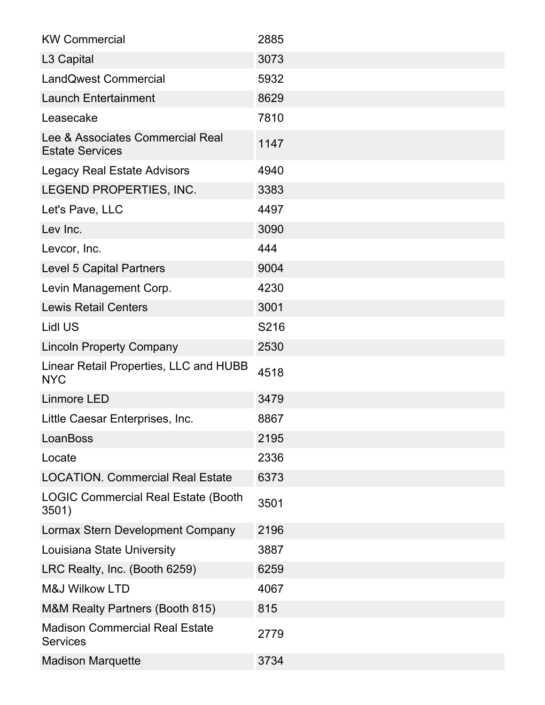| <b>KW Commercial</b>                                       | 2885 |
|------------------------------------------------------------|------|
| L <sub>3</sub> Capital                                     | 3073 |
| <b>LandQwest Commercial</b>                                | 5932 |
| <b>Launch Entertainment</b>                                | 8629 |
| Leasecake                                                  | 7810 |
| Lee & Associates Commercial Real<br><b>Estate Services</b> | 1147 |
| <b>Legacy Real Estate Advisors</b>                         | 4940 |
| LEGEND PROPERTIES, INC.                                    | 3383 |
| Let's Pave, LLC                                            | 4497 |
| Lev Inc.                                                   | 3090 |
| Levcor, Inc.                                               | 444  |
| <b>Level 5 Capital Partners</b>                            | 9004 |
| Levin Management Corp.                                     | 4230 |
| <b>Lewis Retail Centers</b>                                | 3001 |
| <b>Lidl US</b>                                             | S216 |
| <b>Lincoln Property Company</b>                            | 2530 |
| Linear Retail Properties, LLC and HUBB<br><b>NYC</b>       | 4518 |
| <b>Linmore LED</b>                                         | 3479 |
| Little Caesar Enterprises, Inc.                            | 8867 |
| LoanBoss                                                   | 2195 |
| Locate                                                     | 2336 |
| <b>LOCATION. Commercial Real Estate</b>                    | 6373 |
| <b>LOGIC Commercial Real Estate (Booth</b><br>3501)        | 3501 |
| Lormax Stern Development Company                           | 2196 |
| Louisiana State University                                 | 3887 |
| LRC Realty, Inc. (Booth 6259)                              | 6259 |
| <b>M&amp;J Wilkow LTD</b>                                  | 4067 |
| M&M Realty Partners (Booth 815)                            | 815  |
| <b>Madison Commercial Real Estate</b><br><b>Services</b>   | 2779 |
| <b>Madison Marquette</b>                                   | 3734 |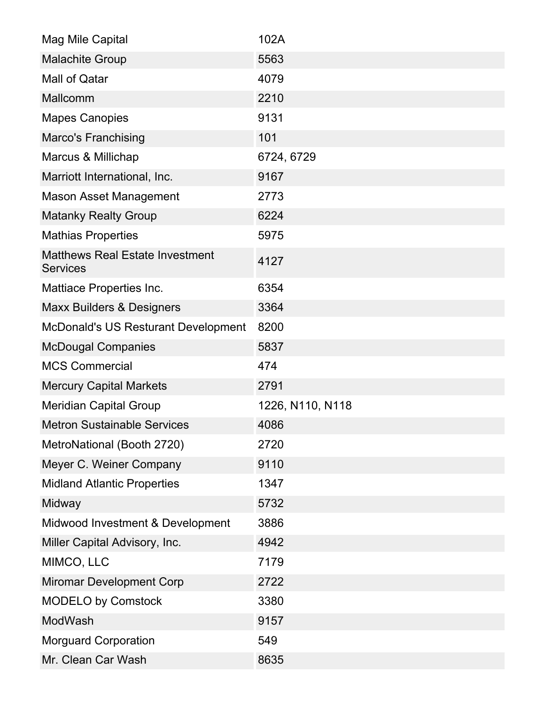| Mag Mile Capital                                          | 102A             |
|-----------------------------------------------------------|------------------|
| <b>Malachite Group</b>                                    | 5563             |
| Mall of Qatar                                             | 4079             |
| Mallcomm                                                  | 2210             |
| <b>Mapes Canopies</b>                                     | 9131             |
| <b>Marco's Franchising</b>                                | 101              |
| Marcus & Millichap                                        | 6724, 6729       |
| Marriott International, Inc.                              | 9167             |
| <b>Mason Asset Management</b>                             | 2773             |
| <b>Matanky Realty Group</b>                               | 6224             |
| <b>Mathias Properties</b>                                 | 5975             |
| <b>Matthews Real Estate Investment</b><br><b>Services</b> | 4127             |
| Mattiace Properties Inc.                                  | 6354             |
| <b>Maxx Builders &amp; Designers</b>                      | 3364             |
| <b>McDonald's US Resturant Development</b>                | 8200             |
| <b>McDougal Companies</b>                                 | 5837             |
| <b>MCS Commercial</b>                                     | 474              |
| <b>Mercury Capital Markets</b>                            | 2791             |
| <b>Meridian Capital Group</b>                             | 1226, N110, N118 |
| <b>Metron Sustainable Services</b>                        | 4086             |
| MetroNational (Booth 2720)                                | 2720             |
| Meyer C. Weiner Company                                   | 9110             |
| <b>Midland Atlantic Properties</b>                        | 1347             |
| Midway                                                    | 5732             |
| Midwood Investment & Development                          | 3886             |
| Miller Capital Advisory, Inc.                             | 4942             |
| MIMCO, LLC                                                | 7179             |
| <b>Miromar Development Corp</b>                           | 2722             |
| <b>MODELO by Comstock</b>                                 | 3380             |
| ModWash                                                   | 9157             |
| <b>Morguard Corporation</b>                               | 549              |
| Mr. Clean Car Wash                                        | 8635             |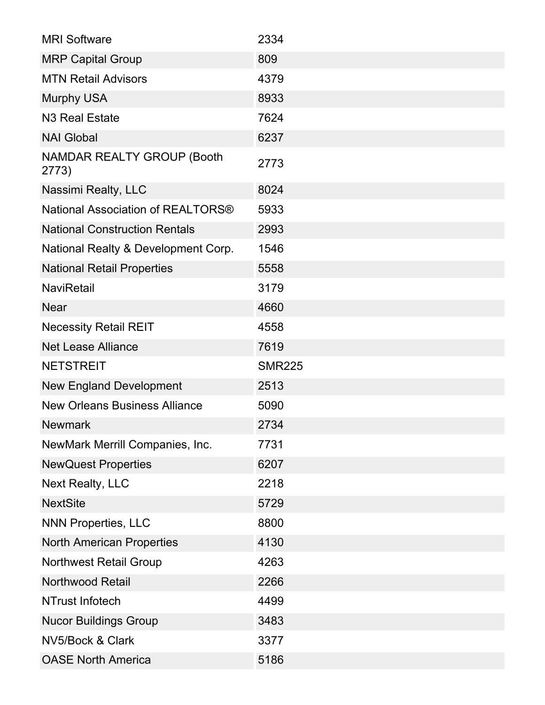| <b>MRI Software</b>                        | 2334          |
|--------------------------------------------|---------------|
| <b>MRP Capital Group</b>                   | 809           |
| <b>MTN Retail Advisors</b>                 | 4379          |
| <b>Murphy USA</b>                          | 8933          |
| N <sub>3</sub> Real Estate                 | 7624          |
| <b>NAI Global</b>                          | 6237          |
| <b>NAMDAR REALTY GROUP (Booth</b><br>2773) | 2773          |
| Nassimi Realty, LLC                        | 8024          |
| National Association of REALTORS®          | 5933          |
| <b>National Construction Rentals</b>       | 2993          |
| National Realty & Development Corp.        | 1546          |
| <b>National Retail Properties</b>          | 5558          |
| <b>NaviRetail</b>                          | 3179          |
| <b>Near</b>                                | 4660          |
| <b>Necessity Retail REIT</b>               | 4558          |
| <b>Net Lease Alliance</b>                  | 7619          |
| <b>NETSTREIT</b>                           | <b>SMR225</b> |
| <b>New England Development</b>             | 2513          |
| <b>New Orleans Business Alliance</b>       | 5090          |
| <b>Newmark</b>                             | 2734          |
| NewMark Merrill Companies, Inc.            | 7731          |
| <b>NewQuest Properties</b>                 | 6207          |
| <b>Next Realty, LLC</b>                    | 2218          |
| <b>NextSite</b>                            | 5729          |
| <b>NNN Properties, LLC</b>                 | 8800          |
| <b>North American Properties</b>           | 4130          |
| <b>Northwest Retail Group</b>              | 4263          |
| <b>Northwood Retail</b>                    | 2266          |
| NTrust Infotech                            | 4499          |
| <b>Nucor Buildings Group</b>               | 3483          |
| NV5/Bock & Clark                           | 3377          |
| <b>OASE North America</b>                  | 5186          |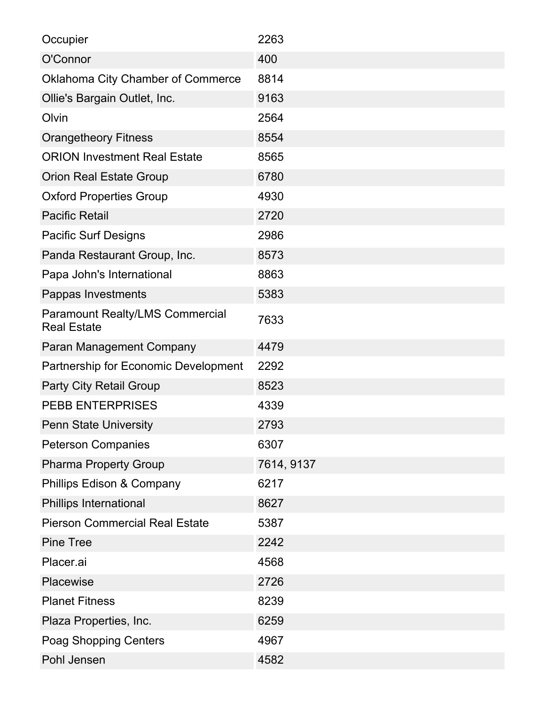| Occupier                                                     | 2263       |
|--------------------------------------------------------------|------------|
| O'Connor                                                     | 400        |
| <b>Oklahoma City Chamber of Commerce</b>                     | 8814       |
| Ollie's Bargain Outlet, Inc.                                 | 9163       |
| Olvin                                                        | 2564       |
| <b>Orangetheory Fitness</b>                                  | 8554       |
| <b>ORION Investment Real Estate</b>                          | 8565       |
| <b>Orion Real Estate Group</b>                               | 6780       |
| <b>Oxford Properties Group</b>                               | 4930       |
| <b>Pacific Retail</b>                                        | 2720       |
| <b>Pacific Surf Designs</b>                                  | 2986       |
| Panda Restaurant Group, Inc.                                 | 8573       |
| Papa John's International                                    | 8863       |
| Pappas Investments                                           | 5383       |
| <b>Paramount Realty/LMS Commercial</b><br><b>Real Estate</b> | 7633       |
| <b>Paran Management Company</b>                              | 4479       |
| Partnership for Economic Development                         | 2292       |
| <b>Party City Retail Group</b>                               | 8523       |
| <b>PEBB ENTERPRISES</b>                                      | 4339       |
| <b>Penn State University</b>                                 | 2793       |
| <b>Peterson Companies</b>                                    | 6307       |
| <b>Pharma Property Group</b>                                 | 7614, 9137 |
| <b>Phillips Edison &amp; Company</b>                         | 6217       |
| <b>Phillips International</b>                                | 8627       |
| <b>Pierson Commercial Real Estate</b>                        | 5387       |
| <b>Pine Tree</b>                                             | 2242       |
| Placer.ai                                                    | 4568       |
| Placewise                                                    | 2726       |
| <b>Planet Fitness</b>                                        | 8239       |
| Plaza Properties, Inc.                                       | 6259       |
| <b>Poag Shopping Centers</b>                                 | 4967       |
| Pohl Jensen                                                  | 4582       |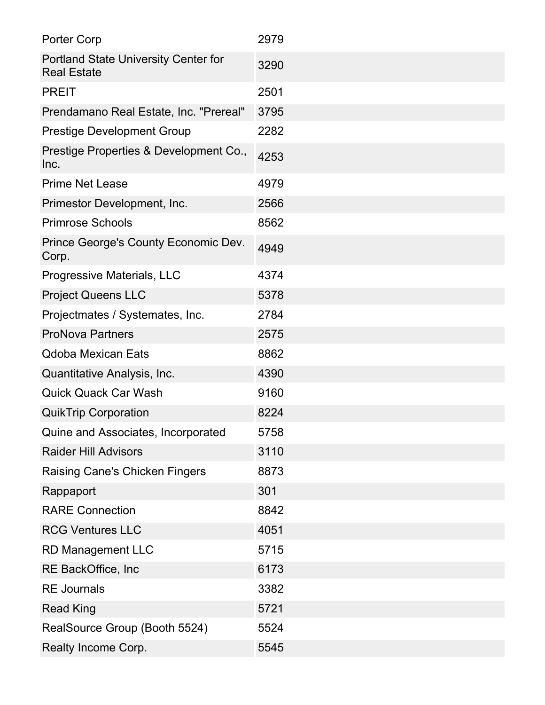| <b>Porter Corp</b>                                                | 2979 |
|-------------------------------------------------------------------|------|
| <b>Portland State University Center for</b><br><b>Real Estate</b> | 3290 |
| <b>PREIT</b>                                                      | 2501 |
| Prendamano Real Estate, Inc. "Prereal"                            | 3795 |
| <b>Prestige Development Group</b>                                 | 2282 |
| Prestige Properties & Development Co.,<br>Inc.                    | 4253 |
| <b>Prime Net Lease</b>                                            | 4979 |
| Primestor Development, Inc.                                       | 2566 |
| <b>Primrose Schools</b>                                           | 8562 |
| Prince George's County Economic Dev.<br>Corp.                     | 4949 |
| Progressive Materials, LLC                                        | 4374 |
| <b>Project Queens LLC</b>                                         | 5378 |
| Projectmates / Systemates, Inc.                                   | 2784 |
| <b>ProNova Partners</b>                                           | 2575 |
| <b>Qdoba Mexican Eats</b>                                         | 8862 |
| Quantitative Analysis, Inc.                                       | 4390 |
| <b>Quick Quack Car Wash</b>                                       | 9160 |
| <b>QuikTrip Corporation</b>                                       | 8224 |
| Quine and Associates, Incorporated                                | 5758 |
| <b>Raider Hill Advisors</b>                                       | 3110 |
| <b>Raising Cane's Chicken Fingers</b>                             | 8873 |
| Rappaport                                                         | 301  |
| <b>RARE Connection</b>                                            | 8842 |
| <b>RCG Ventures LLC</b>                                           | 4051 |
| <b>RD Management LLC</b>                                          | 5715 |
| RE BackOffice, Inc                                                | 6173 |
| <b>RE</b> Journals                                                | 3382 |
| <b>Read King</b>                                                  | 5721 |
| RealSource Group (Booth 5524)                                     | 5524 |
| Realty Income Corp.                                               | 5545 |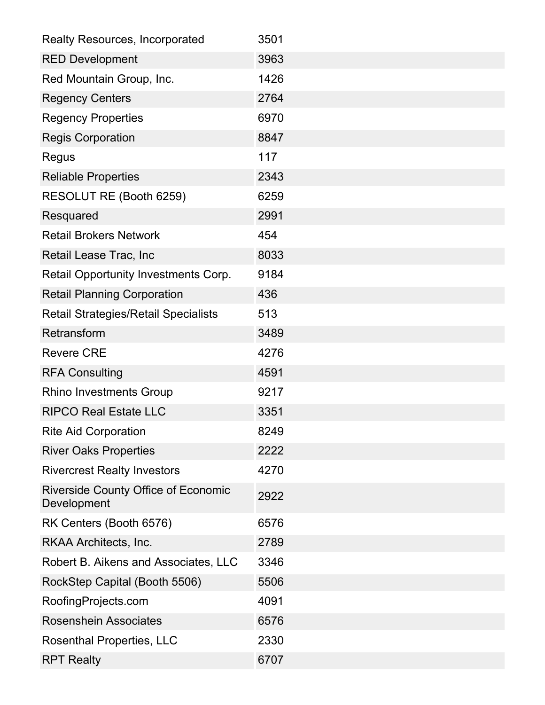| <b>Realty Resources, Incorporated</b>                     | 3501 |
|-----------------------------------------------------------|------|
| <b>RED Development</b>                                    | 3963 |
| Red Mountain Group, Inc.                                  | 1426 |
| <b>Regency Centers</b>                                    | 2764 |
| <b>Regency Properties</b>                                 | 6970 |
| <b>Regis Corporation</b>                                  | 8847 |
| Regus                                                     | 117  |
| <b>Reliable Properties</b>                                | 2343 |
| RESOLUT RE (Booth 6259)                                   | 6259 |
| Resquared                                                 | 2991 |
| <b>Retail Brokers Network</b>                             | 454  |
| Retail Lease Trac, Inc                                    | 8033 |
| Retail Opportunity Investments Corp.                      | 9184 |
| <b>Retail Planning Corporation</b>                        | 436  |
| <b>Retail Strategies/Retail Specialists</b>               | 513  |
| Retransform                                               | 3489 |
| <b>Revere CRE</b>                                         | 4276 |
| <b>RFA Consulting</b>                                     | 4591 |
| <b>Rhino Investments Group</b>                            | 9217 |
| <b>RIPCO Real Estate LLC</b>                              | 3351 |
| <b>Rite Aid Corporation</b>                               | 8249 |
| <b>River Oaks Properties</b>                              | 2222 |
| <b>Rivercrest Realty Investors</b>                        | 4270 |
| <b>Riverside County Office of Economic</b><br>Development | 2922 |
| RK Centers (Booth 6576)                                   | 6576 |
| RKAA Architects, Inc.                                     | 2789 |
| Robert B. Aikens and Associates, LLC                      | 3346 |
| RockStep Capital (Booth 5506)                             | 5506 |
| RoofingProjects.com                                       | 4091 |
| <b>Rosenshein Associates</b>                              | 6576 |
| <b>Rosenthal Properties, LLC</b>                          | 2330 |
| <b>RPT Realty</b>                                         | 6707 |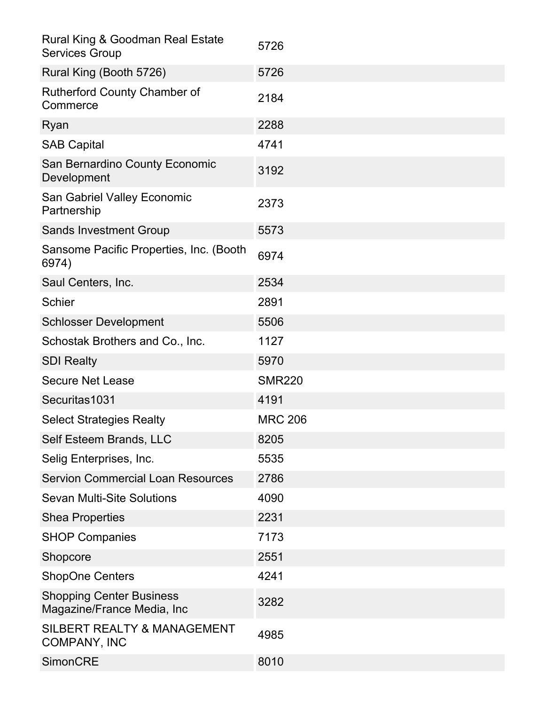| <b>Rural King &amp; Goodman Real Estate</b><br><b>Services Group</b> | 5726           |
|----------------------------------------------------------------------|----------------|
| Rural King (Booth 5726)                                              | 5726           |
| <b>Rutherford County Chamber of</b><br>Commerce                      | 2184           |
| Ryan                                                                 | 2288           |
| <b>SAB Capital</b>                                                   | 4741           |
| San Bernardino County Economic<br>Development                        | 3192           |
| <b>San Gabriel Valley Economic</b><br>Partnership                    | 2373           |
| <b>Sands Investment Group</b>                                        | 5573           |
| Sansome Pacific Properties, Inc. (Booth<br>6974)                     | 6974           |
| Saul Centers, Inc.                                                   | 2534           |
| <b>Schier</b>                                                        | 2891           |
| <b>Schlosser Development</b>                                         | 5506           |
| Schostak Brothers and Co., Inc.                                      | 1127           |
| <b>SDI Realty</b>                                                    | 5970           |
| <b>Secure Net Lease</b>                                              | <b>SMR220</b>  |
| Securitas1031                                                        | 4191           |
| <b>Select Strategies Realty</b>                                      | <b>MRC 206</b> |
| Self Esteem Brands, LLC                                              | 8205           |
| Selig Enterprises, Inc.                                              | 5535           |
| <b>Servion Commercial Loan Resources</b>                             | 2786           |
| <b>Sevan Multi-Site Solutions</b>                                    | 4090           |
| <b>Shea Properties</b>                                               | 2231           |
| <b>SHOP Companies</b>                                                | 7173           |
| Shopcore                                                             | 2551           |
| <b>ShopOne Centers</b>                                               | 4241           |
| <b>Shopping Center Business</b><br>Magazine/France Media, Inc        | 3282           |
| <b>SILBERT REALTY &amp; MANAGEMENT</b><br><b>COMPANY, INC</b>        | 4985           |
| <b>SimonCRE</b>                                                      | 8010           |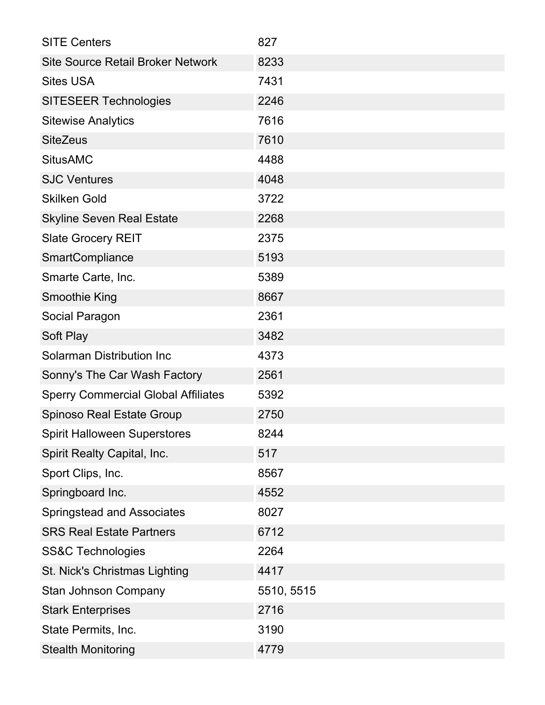| <b>SITE Centers</b>                        | 827        |
|--------------------------------------------|------------|
| <b>Site Source Retail Broker Network</b>   | 8233       |
| <b>Sites USA</b>                           | 7431       |
| <b>SITESEER Technologies</b>               | 2246       |
| <b>Sitewise Analytics</b>                  | 7616       |
| <b>SiteZeus</b>                            | 7610       |
| <b>SitusAMC</b>                            | 4488       |
| <b>SJC Ventures</b>                        | 4048       |
| <b>Skilken Gold</b>                        | 3722       |
| <b>Skyline Seven Real Estate</b>           | 2268       |
| <b>Slate Grocery REIT</b>                  | 2375       |
| <b>SmartCompliance</b>                     | 5193       |
| Smarte Carte, Inc.                         | 5389       |
| <b>Smoothie King</b>                       | 8667       |
| Social Paragon                             | 2361       |
| Soft Play                                  | 3482       |
| <b>Solarman Distribution Inc</b>           | 4373       |
| Sonny's The Car Wash Factory               | 2561       |
| <b>Sperry Commercial Global Affiliates</b> | 5392       |
| <b>Spinoso Real Estate Group</b>           | 2750       |
| <b>Spirit Halloween Superstores</b>        | 8244       |
| Spirit Realty Capital, Inc.                | 517        |
| Sport Clips, Inc.                          | 8567       |
| Springboard Inc.                           | 4552       |
| <b>Springstead and Associates</b>          | 8027       |
| <b>SRS Real Estate Partners</b>            | 6712       |
| <b>SS&amp;C Technologies</b>               | 2264       |
| St. Nick's Christmas Lighting              | 4417       |
| <b>Stan Johnson Company</b>                | 5510, 5515 |
| <b>Stark Enterprises</b>                   | 2716       |
| State Permits, Inc.                        | 3190       |
| <b>Stealth Monitoring</b>                  | 4779       |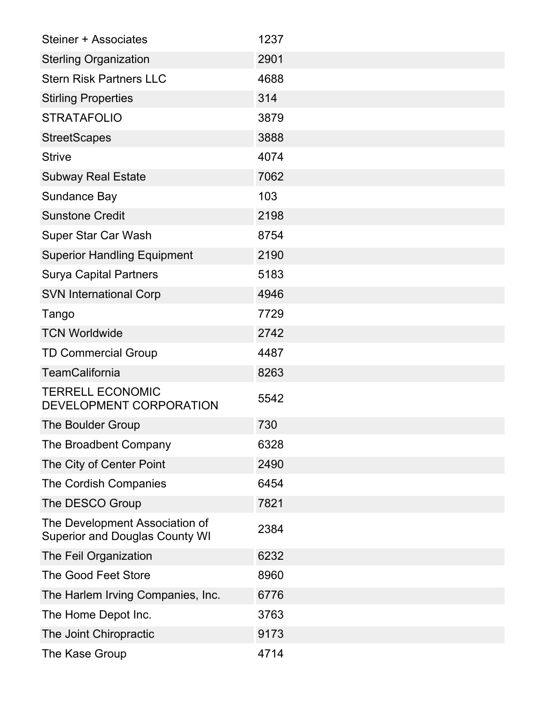| Steiner + Associates                                                    | 1237 |
|-------------------------------------------------------------------------|------|
| <b>Sterling Organization</b>                                            | 2901 |
| <b>Stern Risk Partners LLC</b>                                          | 4688 |
| <b>Stirling Properties</b>                                              | 314  |
| <b>STRATAFOLIO</b>                                                      | 3879 |
| <b>StreetScapes</b>                                                     | 3888 |
| <b>Strive</b>                                                           | 4074 |
| <b>Subway Real Estate</b>                                               | 7062 |
| Sundance Bay                                                            | 103  |
| <b>Sunstone Credit</b>                                                  | 2198 |
| <b>Super Star Car Wash</b>                                              | 8754 |
| <b>Superior Handling Equipment</b>                                      | 2190 |
| <b>Surya Capital Partners</b>                                           | 5183 |
| <b>SVN International Corp</b>                                           | 4946 |
| Tango                                                                   | 7729 |
| <b>TCN Worldwide</b>                                                    | 2742 |
| <b>TD Commercial Group</b>                                              | 4487 |
| <b>TeamCalifornia</b>                                                   | 8263 |
| <b>TERRELL ECONOMIC</b><br>DEVELOPMENT CORPORATION                      | 5542 |
| <b>The Boulder Group</b>                                                | 730  |
| The Broadbent Company                                                   | 6328 |
| The City of Center Point                                                | 2490 |
| The Cordish Companies                                                   | 6454 |
| The DESCO Group                                                         | 7821 |
| The Development Association of<br><b>Superior and Douglas County WI</b> | 2384 |
| The Feil Organization                                                   | 6232 |
| <b>The Good Feet Store</b>                                              | 8960 |
| The Harlem Irving Companies, Inc.                                       | 6776 |
| The Home Depot Inc.                                                     | 3763 |
| The Joint Chiropractic                                                  | 9173 |
| The Kase Group                                                          | 4714 |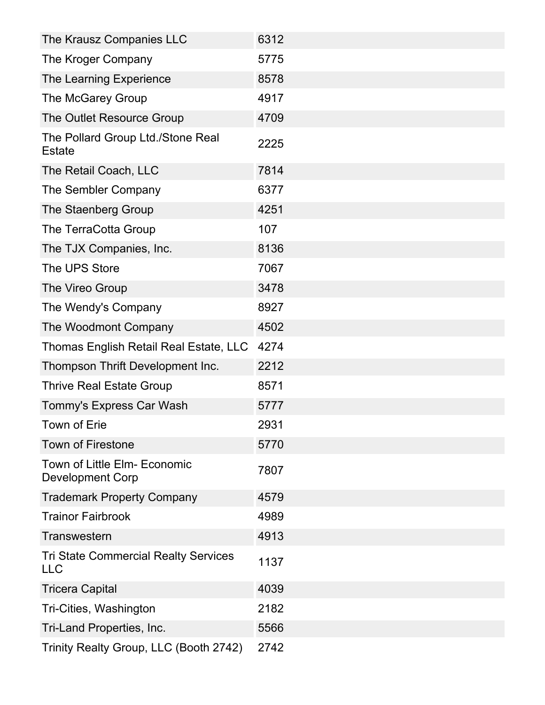| The Krausz Companies LLC                                  | 6312 |
|-----------------------------------------------------------|------|
| The Kroger Company                                        | 5775 |
| The Learning Experience                                   | 8578 |
| The McGarey Group                                         | 4917 |
| The Outlet Resource Group                                 | 4709 |
| The Pollard Group Ltd./Stone Real<br><b>Estate</b>        | 2225 |
| The Retail Coach, LLC                                     | 7814 |
| The Sembler Company                                       | 6377 |
| The Staenberg Group                                       | 4251 |
| The TerraCotta Group                                      | 107  |
| The TJX Companies, Inc.                                   | 8136 |
| The UPS Store                                             | 7067 |
| The Vireo Group                                           | 3478 |
| The Wendy's Company                                       | 8927 |
| The Woodmont Company                                      | 4502 |
| Thomas English Retail Real Estate, LLC                    | 4274 |
| Thompson Thrift Development Inc.                          | 2212 |
| <b>Thrive Real Estate Group</b>                           | 8571 |
| Tommy's Express Car Wash                                  | 5777 |
| <b>Town of Erie</b>                                       | 2931 |
| <b>Town of Firestone</b>                                  | 5770 |
| Town of Little Elm- Economic<br><b>Development Corp</b>   | 7807 |
| <b>Trademark Property Company</b>                         | 4579 |
| <b>Trainor Fairbrook</b>                                  | 4989 |
| Transwestern                                              | 4913 |
| <b>Tri State Commercial Realty Services</b><br><b>LLC</b> | 1137 |
| <b>Tricera Capital</b>                                    | 4039 |
| Tri-Cities, Washington                                    | 2182 |
| Tri-Land Properties, Inc.                                 | 5566 |
| Trinity Realty Group, LLC (Booth 2742)                    | 2742 |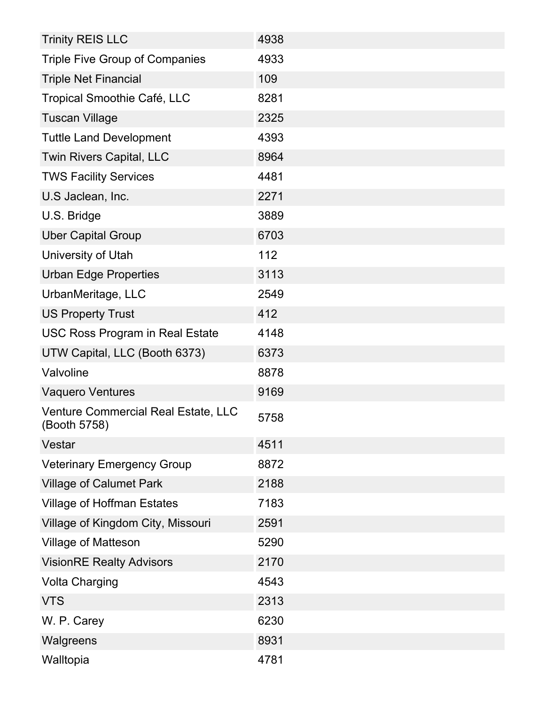| <b>Trinity REIS LLC</b>                             | 4938 |
|-----------------------------------------------------|------|
| <b>Triple Five Group of Companies</b>               | 4933 |
| <b>Triple Net Financial</b>                         | 109  |
| Tropical Smoothie Café, LLC                         | 8281 |
| <b>Tuscan Village</b>                               | 2325 |
| <b>Tuttle Land Development</b>                      | 4393 |
| Twin Rivers Capital, LLC                            | 8964 |
| <b>TWS Facility Services</b>                        | 4481 |
| U.S Jaclean, Inc.                                   | 2271 |
| U.S. Bridge                                         | 3889 |
| <b>Uber Capital Group</b>                           | 6703 |
| University of Utah                                  | 112  |
| <b>Urban Edge Properties</b>                        | 3113 |
| UrbanMeritage, LLC                                  | 2549 |
| <b>US Property Trust</b>                            | 412  |
| <b>USC Ross Program in Real Estate</b>              | 4148 |
| UTW Capital, LLC (Booth 6373)                       | 6373 |
| Valvoline                                           | 8878 |
| <b>Vaquero Ventures</b>                             | 9169 |
| Venture Commercial Real Estate, LLC<br>(Booth 5758) | 5758 |
| Vestar                                              | 4511 |
| <b>Veterinary Emergency Group</b>                   | 8872 |
| <b>Village of Calumet Park</b>                      | 2188 |
| <b>Village of Hoffman Estates</b>                   | 7183 |
| Village of Kingdom City, Missouri                   | 2591 |
| <b>Village of Matteson</b>                          | 5290 |
| <b>VisionRE Realty Advisors</b>                     | 2170 |
| <b>Volta Charging</b>                               | 4543 |
| <b>VTS</b>                                          | 2313 |
| W. P. Carey                                         | 6230 |
| Walgreens                                           | 8931 |
| Walltopia                                           | 4781 |